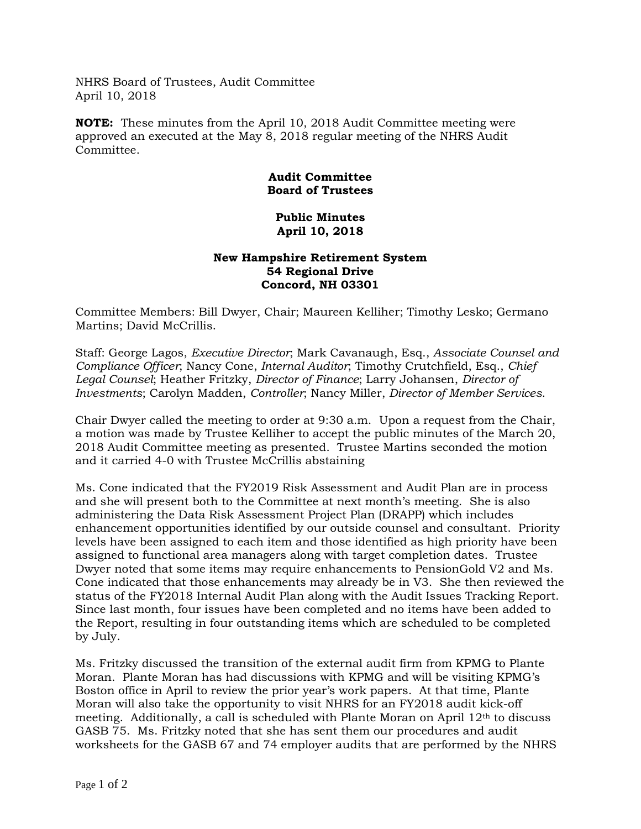NHRS Board of Trustees, Audit Committee April 10, 2018

**NOTE:** These minutes from the April 10, 2018 Audit Committee meeting were approved an executed at the May 8, 2018 regular meeting of the NHRS Audit Committee.

## **Audit Committee Board of Trustees**

## **Public Minutes April 10, 2018**

## **New Hampshire Retirement System 54 Regional Drive Concord, NH 03301**

Committee Members: Bill Dwyer, Chair; Maureen Kelliher; Timothy Lesko; Germano Martins; David McCrillis.

Staff: George Lagos, *Executive Director*; Mark Cavanaugh, Esq., *Associate Counsel and Compliance Officer*; Nancy Cone, *Internal Auditor*; Timothy Crutchfield, Esq., *Chief Legal Counsel*; Heather Fritzky, *Director of Finance*; Larry Johansen, *Director of Investments*; Carolyn Madden, *Controller*; Nancy Miller, *Director of Member Services*.

Chair Dwyer called the meeting to order at 9:30 a.m. Upon a request from the Chair, a motion was made by Trustee Kelliher to accept the public minutes of the March 20, 2018 Audit Committee meeting as presented. Trustee Martins seconded the motion and it carried 4-0 with Trustee McCrillis abstaining

Ms. Cone indicated that the FY2019 Risk Assessment and Audit Plan are in process and she will present both to the Committee at next month's meeting. She is also administering the Data Risk Assessment Project Plan (DRAPP) which includes enhancement opportunities identified by our outside counsel and consultant. Priority levels have been assigned to each item and those identified as high priority have been assigned to functional area managers along with target completion dates. Trustee Dwyer noted that some items may require enhancements to PensionGold V2 and Ms. Cone indicated that those enhancements may already be in V3. She then reviewed the status of the FY2018 Internal Audit Plan along with the Audit Issues Tracking Report. Since last month, four issues have been completed and no items have been added to the Report, resulting in four outstanding items which are scheduled to be completed by July.

Ms. Fritzky discussed the transition of the external audit firm from KPMG to Plante Moran. Plante Moran has had discussions with KPMG and will be visiting KPMG's Boston office in April to review the prior year's work papers. At that time, Plante Moran will also take the opportunity to visit NHRS for an FY2018 audit kick-off meeting. Additionally, a call is scheduled with Plante Moran on April  $12<sup>th</sup>$  to discuss GASB 75. Ms. Fritzky noted that she has sent them our procedures and audit worksheets for the GASB 67 and 74 employer audits that are performed by the NHRS